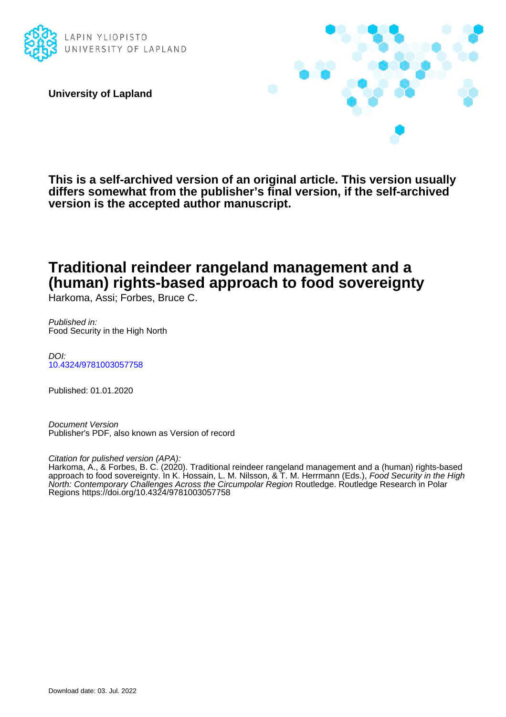

**University of Lapland**



**This is a self-archived version of an original article. This version usually differs somewhat from the publisher's final version, if the self-archived version is the accepted author manuscript.**

# **Traditional reindeer rangeland management and a (human) rights-based approach to food sovereignty**

Harkoma, Assi; Forbes, Bruce C.

Published in: Food Security in the High North

DOI: [10.4324/9781003057758](https://doi.org/10.4324/9781003057758)

Published: 01.01.2020

Document Version Publisher's PDF, also known as Version of record

Citation for pulished version (APA):

Harkoma, A., & Forbes, B. C. (2020). Traditional reindeer rangeland management and a (human) rights-based approach to food sovereignty. In K. Hossain, L. M. Nilsson, & T. M. Herrmann (Eds.), *Food Security in the High* North: Contemporary Challenges Across the Circumpolar Region Routledge. Routledge Research in Polar Regions<https://doi.org/10.4324/9781003057758>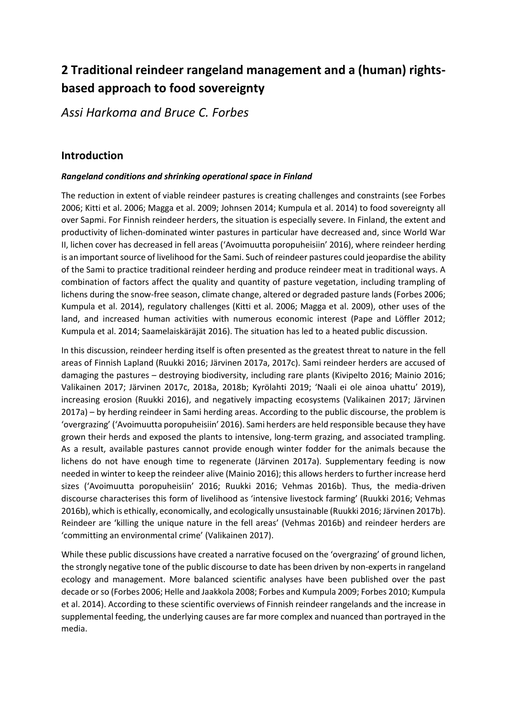# **2 Traditional reindeer rangeland management and a (human) rightsbased approach to food sovereignty**

*Assi Harkoma and Bruce C. Forbes*

## **Introduction**

#### *Rangeland conditions and shrinking operational space in Finland*

The reduction in extent of viable reindeer pastures is creating challenges and constraints (see Forbes 2006; Kitti et al. 2006; Magga et al. 2009; Johnsen 2014; Kumpula et al. 2014) to food sovereignty all over Sapmi. For Finnish reindeer herders, the situation is especially severe. In Finland, the extent and productivity of lichen-dominated winter pastures in particular have decreased and, since World War II, lichen cover has decreased in fell areas ('Avoimuutta poropuheisiin' 2016), where reindeer herding is an important source of livelihood for the Sami. Such of reindeer pastures could jeopardise the ability of the Sami to practice traditional reindeer herding and produce reindeer meat in traditional ways. A combination of factors affect the quality and quantity of pasture vegetation, including trampling of lichens during the snow-free season, climate change, altered or degraded pasture lands (Forbes 2006; Kumpula et al. 2014), regulatory challenges (Kitti et al. 2006; Magga et al. 2009), other uses of the land, and increased human activities with numerous economic interest (Pape and Löffler 2012; Kumpula et al. 2014; Saamelaiskäräjät 2016). The situation has led to a heated public discussion.

In this discussion, reindeer herding itself is often presented as the greatest threat to nature in the fell areas of Finnish Lapland (Ruukki 2016; Järvinen 2017a, 2017c). Sami reindeer herders are accused of damaging the pastures – destroying biodiversity, including rare plants (Kivipelto 2016; Mainio 2016; Valikainen 2017; Järvinen 2017c, 2018a, 2018b; Kyrölahti 2019; 'Naali ei ole ainoa uhattu' 2019), increasing erosion (Ruukki 2016), and negatively impacting ecosystems (Valikainen 2017; Järvinen 2017a) – by herding reindeer in Sami herding areas. According to the public discourse, the problem is 'overgrazing' ('Avoimuutta poropuheisiin' 2016). Sami herders are held responsible because they have grown their herds and exposed the plants to intensive, long-term grazing, and associated trampling. As a result, available pastures cannot provide enough winter fodder for the animals because the lichens do not have enough time to regenerate (Järvinen 2017a). Supplementary feeding is now needed in winter to keep the reindeer alive (Mainio 2016); this allows herders to further increase herd sizes ('Avoimuutta poropuheisiin' 2016; Ruukki 2016; Vehmas 2016b). Thus, the media-driven discourse characterises this form of livelihood as 'intensive livestock farming' (Ruukki 2016; Vehmas 2016b), which is ethically, economically, and ecologically unsustainable (Ruukki 2016; Järvinen 2017b). Reindeer are 'killing the unique nature in the fell areas' (Vehmas 2016b) and reindeer herders are 'committing an environmental crime' (Valikainen 2017).

While these public discussions have created a narrative focused on the 'overgrazing' of ground lichen, the strongly negative tone of the public discourse to date has been driven by non-experts in rangeland ecology and management. More balanced scientific analyses have been published over the past decade or so (Forbes 2006; Helle and Jaakkola 2008; Forbes and Kumpula 2009; Forbes 2010; Kumpula et al. 2014). According to these scientific overviews of Finnish reindeer rangelands and the increase in supplemental feeding, the underlying causes are far more complex and nuanced than portrayed in the media.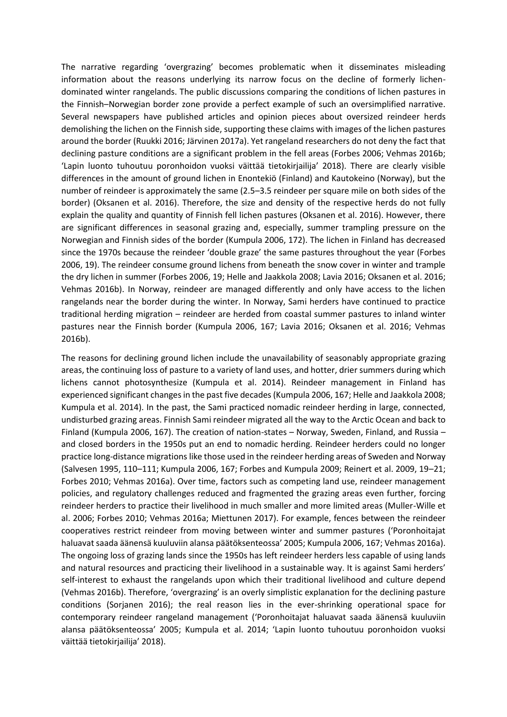The narrative regarding 'overgrazing' becomes problematic when it disseminates misleading information about the reasons underlying its narrow focus on the decline of formerly lichendominated winter rangelands. The public discussions comparing the conditions of lichen pastures in the Finnish–Norwegian border zone provide a perfect example of such an oversimplified narrative. Several newspapers have published articles and opinion pieces about oversized reindeer herds demolishing the lichen on the Finnish side, supporting these claims with images of the lichen pastures around the border (Ruukki 2016; Järvinen 2017a). Yet rangeland researchers do not deny the fact that declining pasture conditions are a significant problem in the fell areas (Forbes 2006; Vehmas 2016b; 'Lapin luonto tuhoutuu poronhoidon vuoksi väittää tietokirjailija' 2018). There are clearly visible differences in the amount of ground lichen in Enontekiö (Finland) and Kautokeino (Norway), but the number of reindeer is approximately the same (2.5–3.5 reindeer per square mile on both sides of the border) (Oksanen et al. 2016). Therefore, the size and density of the respective herds do not fully explain the quality and quantity of Finnish fell lichen pastures (Oksanen et al. 2016). However, there are significant differences in seasonal grazing and, especially, summer trampling pressure on the Norwegian and Finnish sides of the border (Kumpula 2006, 172). The lichen in Finland has decreased since the 1970s because the reindeer 'double graze' the same pastures throughout the year (Forbes 2006, 19). The reindeer consume ground lichens from beneath the snow cover in winter and trample the dry lichen in summer (Forbes 2006, 19; Helle and Jaakkola 2008; Lavia 2016; Oksanen et al. 2016; Vehmas 2016b). In Norway, reindeer are managed differently and only have access to the lichen rangelands near the border during the winter. In Norway, Sami herders have continued to practice traditional herding migration – reindeer are herded from coastal summer pastures to inland winter pastures near the Finnish border (Kumpula 2006, 167; Lavia 2016; Oksanen et al. 2016; Vehmas 2016b).

The reasons for declining ground lichen include the unavailability of seasonably appropriate grazing areas, the continuing loss of pasture to a variety of land uses, and hotter, drier summers during which lichens cannot photosynthesize (Kumpula et al. 2014). Reindeer management in Finland has experienced significant changes in the past five decades (Kumpula 2006, 167; Helle and Jaakkola 2008; Kumpula et al. 2014). In the past, the Sami practiced nomadic reindeer herding in large, connected, undisturbed grazing areas. Finnish Sami reindeer migrated all the way to the Arctic Ocean and back to Finland (Kumpula 2006, 167). The creation of nation-states – Norway, Sweden, Finland, and Russia – and closed borders in the 1950s put an end to nomadic herding. Reindeer herders could no longer practice long-distance migrations like those used in the reindeer herding areas of Sweden and Norway (Salvesen 1995, 110–111; Kumpula 2006, 167; Forbes and Kumpula 2009; Reinert et al. 2009, 19–21; Forbes 2010; Vehmas 2016a). Over time, factors such as competing land use, reindeer management policies, and regulatory challenges reduced and fragmented the grazing areas even further, forcing reindeer herders to practice their livelihood in much smaller and more limited areas (Muller-Wille et al. 2006; Forbes 2010; Vehmas 2016a; Miettunen 2017). For example, fences between the reindeer cooperatives restrict reindeer from moving between winter and summer pastures ('Poronhoitajat haluavat saada äänensä kuuluviin alansa päätöksenteossa' 2005; Kumpula 2006, 167; Vehmas 2016a). The ongoing loss of grazing lands since the 1950s has left reindeer herders less capable of using lands and natural resources and practicing their livelihood in a sustainable way. It is against Sami herders' self-interest to exhaust the rangelands upon which their traditional livelihood and culture depend (Vehmas 2016b). Therefore, 'overgrazing' is an overly simplistic explanation for the declining pasture conditions (Sorjanen 2016); the real reason lies in the ever-shrinking operational space for contemporary reindeer rangeland management ('Poronhoitajat haluavat saada äänensä kuuluviin alansa päätöksenteossa' 2005; Kumpula et al. 2014; 'Lapin luonto tuhoutuu poronhoidon vuoksi väittää tietokirjailija' 2018).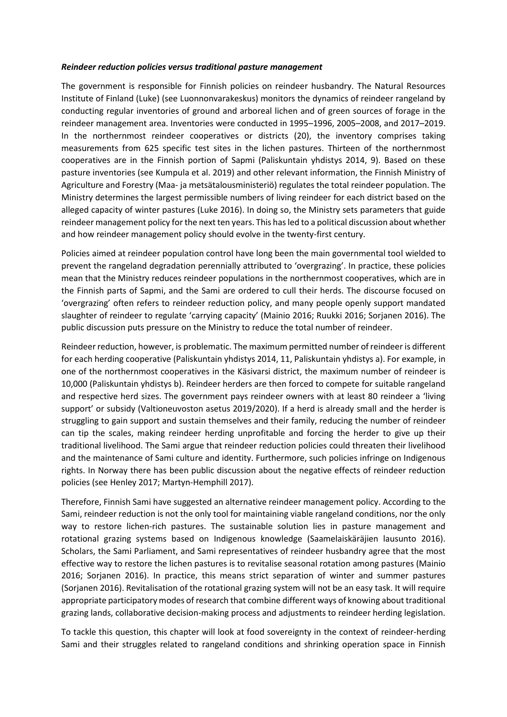#### *Reindeer reduction policies versus traditional pasture management*

The government is responsible for Finnish policies on reindeer husbandry. The Natural Resources Institute of Finland (Luke) (see Luonnonvarakeskus) monitors the dynamics of reindeer rangeland by conducting regular inventories of ground and arboreal lichen and of green sources of forage in the reindeer management area. Inventories were conducted in 1995–1996, 2005–2008, and 2017–2019. In the northernmost reindeer cooperatives or districts (20), the inventory comprises taking measurements from 625 specific test sites in the lichen pastures. Thirteen of the northernmost cooperatives are in the Finnish portion of Sapmi (Paliskuntain yhdistys 2014, 9). Based on these pasture inventories (see Kumpula et al. 2019) and other relevant information, the Finnish Ministry of Agriculture and Forestry (Maa- ja metsätalousministeriö) regulates the total reindeer population. The Ministry determines the largest permissible numbers of living reindeer for each district based on the alleged capacity of winter pastures (Luke 2016). In doing so, the Ministry sets parameters that guide reindeer management policy for the next ten years. This has led to a political discussion about whether and how reindeer management policy should evolve in the twenty-first century.

Policies aimed at reindeer population control have long been the main governmental tool wielded to prevent the rangeland degradation perennially attributed to 'overgrazing'. In practice, these policies mean that the Ministry reduces reindeer populations in the northernmost cooperatives, which are in the Finnish parts of Sapmi, and the Sami are ordered to cull their herds. The discourse focused on 'overgrazing' often refers to reindeer reduction policy, and many people openly support mandated slaughter of reindeer to regulate 'carrying capacity' (Mainio 2016; Ruukki 2016; Sorjanen 2016). The public discussion puts pressure on the Ministry to reduce the total number of reindeer.

Reindeer reduction, however, is problematic. The maximum permitted number of reindeer is different for each herding cooperative (Paliskuntain yhdistys 2014, 11, Paliskuntain yhdistys a). For example, in one of the northernmost cooperatives in the Käsivarsi district, the maximum number of reindeer is 10,000 (Paliskuntain yhdistys b). Reindeer herders are then forced to compete for suitable rangeland and respective herd sizes. The government pays reindeer owners with at least 80 reindeer a 'living support' or subsidy (Valtioneuvoston asetus 2019/2020). If a herd is already small and the herder is struggling to gain support and sustain themselves and their family, reducing the number of reindeer can tip the scales, making reindeer herding unprofitable and forcing the herder to give up their traditional livelihood. The Sami argue that reindeer reduction policies could threaten their livelihood and the maintenance of Sami culture and identity. Furthermore, such policies infringe on Indigenous rights. In Norway there has been public discussion about the negative effects of reindeer reduction policies (see Henley 2017; Martyn-Hemphill 2017).

Therefore, Finnish Sami have suggested an alternative reindeer management policy. According to the Sami, reindeer reduction is not the only tool for maintaining viable rangeland conditions, nor the only way to restore lichen-rich pastures. The sustainable solution lies in pasture management and rotational grazing systems based on Indigenous knowledge (Saamelaiskäräjien lausunto 2016). Scholars, the Sami Parliament, and Sami representatives of reindeer husbandry agree that the most effective way to restore the lichen pastures is to revitalise seasonal rotation among pastures (Mainio 2016; Sorjanen 2016). In practice, this means strict separation of winter and summer pastures (Sorjanen 2016). Revitalisation of the rotational grazing system will not be an easy task. It will require appropriate participatory modes of research that combine different ways of knowing about traditional grazing lands, collaborative decision-making process and adjustments to reindeer herding legislation.

To tackle this question, this chapter will look at food sovereignty in the context of reindeer-herding Sami and their struggles related to rangeland conditions and shrinking operation space in Finnish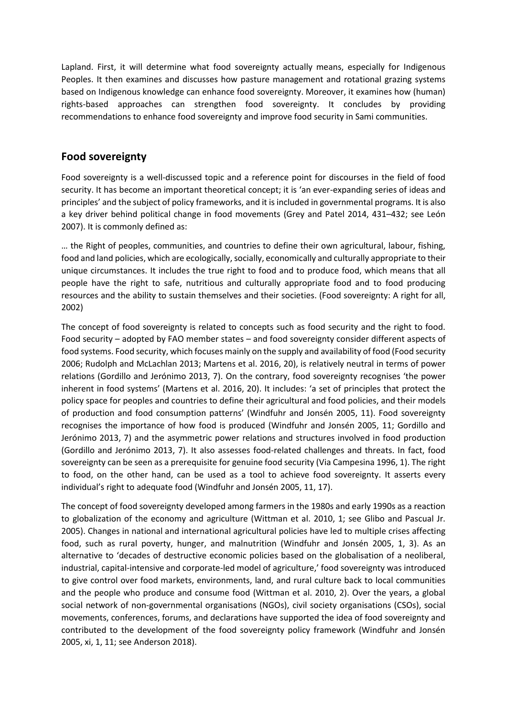Lapland. First, it will determine what food sovereignty actually means, especially for Indigenous Peoples. It then examines and discusses how pasture management and rotational grazing systems based on Indigenous knowledge can enhance food sovereignty. Moreover, it examines how (human) rights-based approaches can strengthen food sovereignty. It concludes by providing recommendations to enhance food sovereignty and improve food security in Sami communities.

## **Food sovereignty**

Food sovereignty is a well-discussed topic and a reference point for discourses in the field of food security. It has become an important theoretical concept; it is 'an ever-expanding series of ideas and principles' and the subject of policy frameworks, and it is included in governmental programs. It is also a key driver behind political change in food movements (Grey and Patel 2014, 431–432; see León 2007). It is commonly defined as:

… the Right of peoples, communities, and countries to define their own agricultural, labour, fishing, food and land policies, which are ecologically, socially, economically and culturally appropriate to their unique circumstances. It includes the true right to food and to produce food, which means that all people have the right to safe, nutritious and culturally appropriate food and to food producing resources and the ability to sustain themselves and their societies. (Food sovereignty: A right for all, 2002)

The concept of food sovereignty is related to concepts such as food security and the right to food. Food security – adopted by FAO member states – and food sovereignty consider different aspects of food systems. Food security, which focuses mainly on the supply and availability of food (Food security 2006; Rudolph and McLachlan 2013; Martens et al. 2016, 20), is relatively neutral in terms of power relations (Gordillo and Jerónimo 2013, 7). On the contrary, food sovereignty recognises 'the power inherent in food systems' (Martens et al. 2016, 20). It includes: 'a set of principles that protect the policy space for peoples and countries to define their agricultural and food policies, and their models of production and food consumption patterns' (Windfuhr and Jonsén 2005, 11). Food sovereignty recognises the importance of how food is produced (Windfuhr and Jonsén 2005, 11; Gordillo and Jerónimo 2013, 7) and the asymmetric power relations and structures involved in food production (Gordillo and Jerónimo 2013, 7). It also assesses food-related challenges and threats. In fact, food sovereignty can be seen as a prerequisite for genuine food security (Via Campesina 1996, 1). The right to food, on the other hand, can be used as a tool to achieve food sovereignty. It asserts every individual's right to adequate food (Windfuhr and Jonsén 2005, 11, 17).

The concept of food sovereignty developed among farmers in the 1980s and early 1990s as a reaction to globalization of the economy and agriculture (Wittman et al. 2010, 1; see Glibo and Pascual Jr. 2005). Changes in national and international agricultural policies have led to multiple crises affecting food, such as rural poverty, hunger, and malnutrition (Windfuhr and Jonsén 2005, 1, 3). As an alternative to 'decades of destructive economic policies based on the globalisation of a neoliberal, industrial, capital-intensive and corporate-led model of agriculture,' food sovereignty was introduced to give control over food markets, environments, land, and rural culture back to local communities and the people who produce and consume food (Wittman et al. 2010, 2). Over the years, a global social network of non-governmental organisations (NGOs), civil society organisations (CSOs), social movements, conferences, forums, and declarations have supported the idea of food sovereignty and contributed to the development of the food sovereignty policy framework (Windfuhr and Jonsén 2005, xi, 1, 11; see Anderson 2018).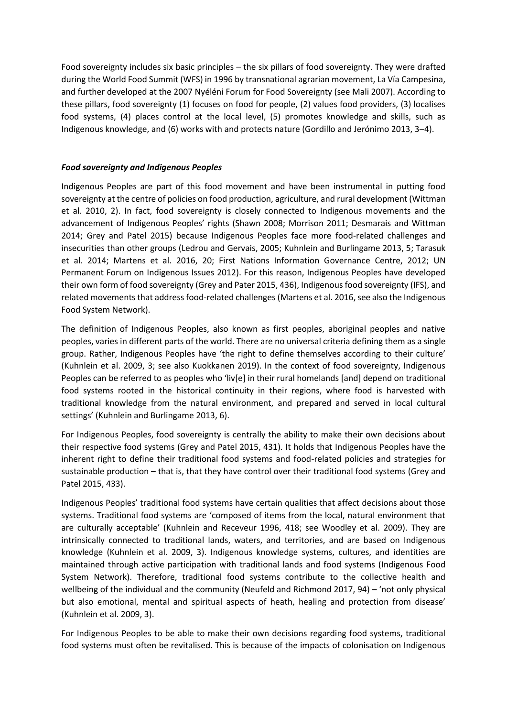Food sovereignty includes six basic principles – the six pillars of food sovereignty. They were drafted during the World Food Summit (WFS) in 1996 by transnational agrarian movement, La Vía Campesina, and further developed at the 2007 Nyéléni Forum for Food Sovereignty (see Mali 2007). According to these pillars, food sovereignty (1) focuses on food for people, (2) values food providers, (3) localises food systems, (4) places control at the local level, (5) promotes knowledge and skills, such as Indigenous knowledge, and (6) works with and protects nature (Gordillo and Jerónimo 2013, 3–4).

#### *Food sovereignty and Indigenous Peoples*

Indigenous Peoples are part of this food movement and have been instrumental in putting food sovereignty at the centre of policies on food production, agriculture, and rural development (Wittman et al. 2010, 2). In fact, food sovereignty is closely connected to Indigenous movements and the advancement of Indigenous Peoples' rights (Shawn 2008; Morrison 2011; Desmarais and Wittman 2014; Grey and Patel 2015) because Indigenous Peoples face more food-related challenges and insecurities than other groups (Ledrou and Gervais, 2005; Kuhnlein and Burlingame 2013, 5; Tarasuk et al. 2014; Martens et al. 2016, 20; First Nations Information Governance Centre, 2012; UN Permanent Forum on Indigenous Issues 2012). For this reason, Indigenous Peoples have developed their own form of food sovereignty (Grey and Pater 2015, 436), Indigenous food sovereignty (IFS), and related movements that address food-related challenges (Martens et al. 2016, see also the Indigenous Food System Network).

The definition of Indigenous Peoples, also known as first peoples, aboriginal peoples and native peoples, varies in different parts of the world. There are no universal criteria defining them as a single group. Rather, Indigenous Peoples have 'the right to define themselves according to their culture' (Kuhnlein et al. 2009, 3; see also Kuokkanen 2019). In the context of food sovereignty, Indigenous Peoples can be referred to as peoples who 'liv[e] in their rural homelands [and] depend on traditional food systems rooted in the historical continuity in their regions, where food is harvested with traditional knowledge from the natural environment, and prepared and served in local cultural settings' (Kuhnlein and Burlingame 2013, 6).

For Indigenous Peoples, food sovereignty is centrally the ability to make their own decisions about their respective food systems (Grey and Patel 2015, 431). It holds that Indigenous Peoples have the inherent right to define their traditional food systems and food-related policies and strategies for sustainable production – that is, that they have control over their traditional food systems (Grey and Patel 2015, 433).

Indigenous Peoples' traditional food systems have certain qualities that affect decisions about those systems. Traditional food systems are 'composed of items from the local, natural environment that are culturally acceptable' (Kuhnlein and Receveur 1996, 418; see Woodley et al. 2009). They are intrinsically connected to traditional lands, waters, and territories, and are based on Indigenous knowledge (Kuhnlein et al. 2009, 3). Indigenous knowledge systems, cultures, and identities are maintained through active participation with traditional lands and food systems (Indigenous Food System Network). Therefore, traditional food systems contribute to the collective health and wellbeing of the individual and the community (Neufeld and Richmond 2017, 94) – 'not only physical but also emotional, mental and spiritual aspects of heath, healing and protection from disease' (Kuhnlein et al. 2009, 3).

For Indigenous Peoples to be able to make their own decisions regarding food systems, traditional food systems must often be revitalised. This is because of the impacts of colonisation on Indigenous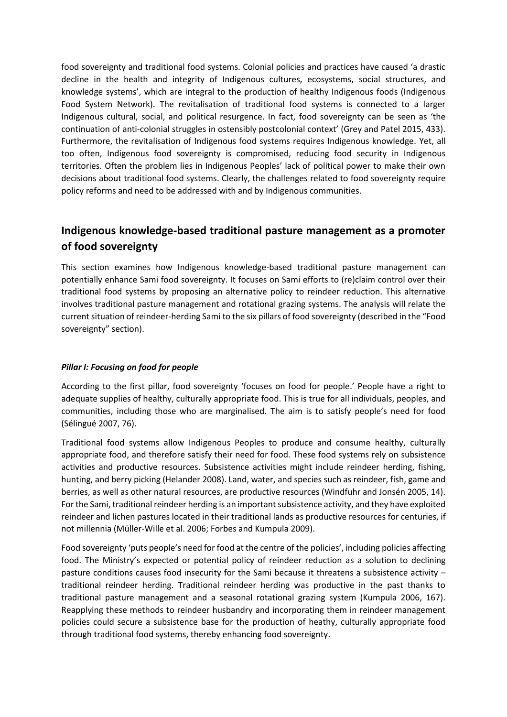food sovereignty and traditional food systems. Colonial policies and practices have caused 'a drastic decline in the health and integrity of Indigenous cultures, ecosystems, social structures, and knowledge systems', which are integral to the production of healthy Indigenous foods (Indigenous Food System Network). The revitalisation of traditional food systems is connected to a larger Indigenous cultural, social, and political resurgence. In fact, food sovereignty can be seen as 'the continuation of anti-colonial struggles in ostensibly postcolonial context' (Grey and Patel 2015, 433). Furthermore, the revitalisation of Indigenous food systems requires Indigenous knowledge. Yet, all too often, Indigenous food sovereignty is compromised, reducing food security in Indigenous territories. Often the problem lies in Indigenous Peoples' lack of political power to make their own decisions about traditional food systems. Clearly, the challenges related to food sovereignty require policy reforms and need to be addressed with and by Indigenous communities.

## **Indigenous knowledge-based traditional pasture management as a promoter of food sovereignty**

This section examines how Indigenous knowledge-based traditional pasture management can potentially enhance Sami food sovereignty. It focuses on Sami efforts to (re)claim control over their traditional food systems by proposing an alternative policy to reindeer reduction. This alternative involves traditional pasture management and rotational grazing systems. The analysis will relate the current situation of reindeer-herding Sami to the six pillars of food sovereignty (described in the "Food sovereignty" section).

#### *Pillar I: Focusing on food for people*

According to the first pillar, food sovereignty 'focuses on food for people.' People have a right to adequate supplies of healthy, culturally appropriate food. This is true for all individuals, peoples, and communities, including those who are marginalised. The aim is to satisfy people's need for food (Sélingué 2007, 76).

Traditional food systems allow Indigenous Peoples to produce and consume healthy, culturally appropriate food, and therefore satisfy their need for food. These food systems rely on subsistence activities and productive resources. Subsistence activities might include reindeer herding, fishing, hunting, and berry picking (Helander 2008). Land, water, and species such as reindeer, fish, game and berries, as well as other natural resources, are productive resources (Windfuhr and Jonsén 2005, 14). For the Sami, traditional reindeer herding is an important subsistence activity, and they have exploited reindeer and lichen pastures located in their traditional lands as productive resources for centuries, if not millennia (Müller-Wille et al. 2006; Forbes and Kumpula 2009).

Food sovereignty 'puts people's need for food at the centre of the policies', including policies affecting food. The Ministry's expected or potential policy of reindeer reduction as a solution to declining pasture conditions causes food insecurity for the Sami because it threatens a subsistence activity – traditional reindeer herding. Traditional reindeer herding was productive in the past thanks to traditional pasture management and a seasonal rotational grazing system (Kumpula 2006, 167). Reapplying these methods to reindeer husbandry and incorporating them in reindeer management policies could secure a subsistence base for the production of heathy, culturally appropriate food through traditional food systems, thereby enhancing food sovereignty.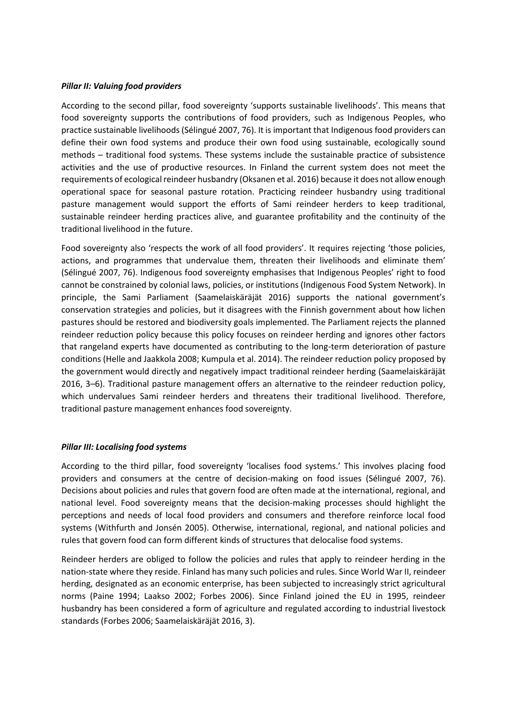#### *Pillar II: Valuing food providers*

According to the second pillar, food sovereignty 'supports sustainable livelihoods'. This means that food sovereignty supports the contributions of food providers, such as Indigenous Peoples, who practice sustainable livelihoods (Sélingué 2007, 76). It is important that Indigenous food providers can define their own food systems and produce their own food using sustainable, ecologically sound methods – traditional food systems. These systems include the sustainable practice of subsistence activities and the use of productive resources. In Finland the current system does not meet the requirements of ecological reindeer husbandry (Oksanen et al. 2016) because it does not allow enough operational space for seasonal pasture rotation. Practicing reindeer husbandry using traditional pasture management would support the efforts of Sami reindeer herders to keep traditional, sustainable reindeer herding practices alive, and guarantee profitability and the continuity of the traditional livelihood in the future.

Food sovereignty also 'respects the work of all food providers'. It requires rejecting 'those policies, actions, and programmes that undervalue them, threaten their livelihoods and eliminate them' (Sélingué 2007, 76). Indigenous food sovereignty emphasises that Indigenous Peoples' right to food cannot be constrained by colonial laws, policies, or institutions (Indigenous Food System Network). In principle, the Sami Parliament (Saamelaiskäräjät 2016) supports the national government's conservation strategies and policies, but it disagrees with the Finnish government about how lichen pastures should be restored and biodiversity goals implemented. The Parliament rejects the planned reindeer reduction policy because this policy focuses on reindeer herding and ignores other factors that rangeland experts have documented as contributing to the long-term deterioration of pasture conditions (Helle and Jaakkola 2008; Kumpula et al. 2014). The reindeer reduction policy proposed by the government would directly and negatively impact traditional reindeer herding (Saamelaiskäräjät 2016, 3–6). Traditional pasture management offers an alternative to the reindeer reduction policy, which undervalues Sami reindeer herders and threatens their traditional livelihood. Therefore, traditional pasture management enhances food sovereignty.

#### *Pillar III: Localising food systems*

According to the third pillar, food sovereignty 'localises food systems.' This involves placing food providers and consumers at the centre of decision-making on food issues (Sélingué 2007, 76). Decisions about policies and rules that govern food are often made at the international, regional, and national level. Food sovereignty means that the decision-making processes should highlight the perceptions and needs of local food providers and consumers and therefore reinforce local food systems (Withfurth and Jonsén 2005). Otherwise, international, regional, and national policies and rules that govern food can form different kinds of structures that delocalise food systems.

Reindeer herders are obliged to follow the policies and rules that apply to reindeer herding in the nation-state where they reside. Finland has many such policies and rules. Since World War II, reindeer herding, designated as an economic enterprise, has been subjected to increasingly strict agricultural norms (Paine 1994; Laakso 2002; Forbes 2006). Since Finland joined the EU in 1995, reindeer husbandry has been considered a form of agriculture and regulated according to industrial livestock standards (Forbes 2006; Saamelaiskäräjät 2016, 3).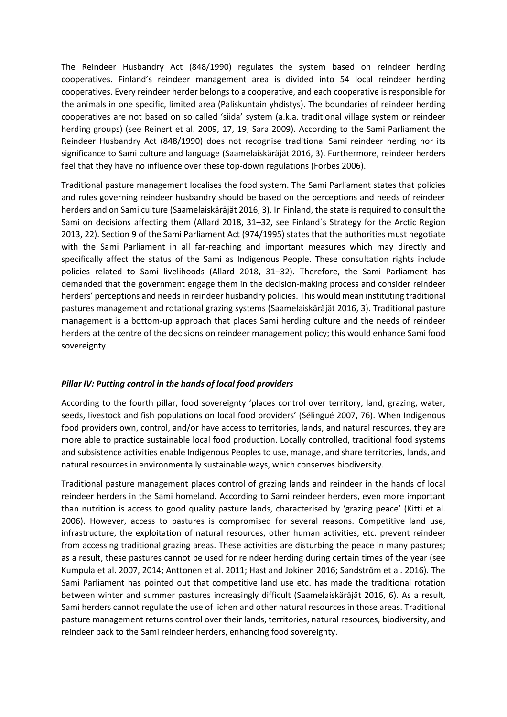The Reindeer Husbandry Act (848/1990) regulates the system based on reindeer herding cooperatives. Finland's reindeer management area is divided into 54 local reindeer herding cooperatives. Every reindeer herder belongs to a cooperative, and each cooperative is responsible for the animals in one specific, limited area (Paliskuntain yhdistys). The boundaries of reindeer herding cooperatives are not based on so called 'siida' system (a.k.a. traditional village system or reindeer herding groups) (see Reinert et al. 2009, 17, 19; Sara 2009). According to the Sami Parliament the Reindeer Husbandry Act (848/1990) does not recognise traditional Sami reindeer herding nor its significance to Sami culture and language (Saamelaiskäräjät 2016, 3). Furthermore, reindeer herders feel that they have no influence over these top-down regulations (Forbes 2006).

Traditional pasture management localises the food system. The Sami Parliament states that policies and rules governing reindeer husbandry should be based on the perceptions and needs of reindeer herders and on Sami culture (Saamelaiskäräjät 2016, 3). In Finland, the state is required to consult the Sami on decisions affecting them (Allard 2018, 31–32, see Finland´s Strategy for the Arctic Region 2013, 22). Section 9 of the Sami Parliament Act (974/1995) states that the authorities must negotiate with the Sami Parliament in all far-reaching and important measures which may directly and specifically affect the status of the Sami as Indigenous People. These consultation rights include policies related to Sami livelihoods (Allard 2018, 31–32). Therefore, the Sami Parliament has demanded that the government engage them in the decision-making process and consider reindeer herders' perceptions and needs in reindeer husbandry policies. This would mean instituting traditional pastures management and rotational grazing systems (Saamelaiskäräjät 2016, 3). Traditional pasture management is a bottom-up approach that places Sami herding culture and the needs of reindeer herders at the centre of the decisions on reindeer management policy; this would enhance Sami food sovereignty.

#### *Pillar IV: Putting control in the hands of local food providers*

According to the fourth pillar, food sovereignty 'places control over territory, land, grazing, water, seeds, livestock and fish populations on local food providers' (Sélingué 2007, 76). When Indigenous food providers own, control, and/or have access to territories, lands, and natural resources, they are more able to practice sustainable local food production. Locally controlled, traditional food systems and subsistence activities enable Indigenous Peoples to use, manage, and share territories, lands, and natural resources in environmentally sustainable ways, which conserves biodiversity.

Traditional pasture management places control of grazing lands and reindeer in the hands of local reindeer herders in the Sami homeland. According to Sami reindeer herders, even more important than nutrition is access to good quality pasture lands, characterised by 'grazing peace' (Kitti et al. 2006). However, access to pastures is compromised for several reasons. Competitive land use, infrastructure, the exploitation of natural resources, other human activities, etc. prevent reindeer from accessing traditional grazing areas. These activities are disturbing the peace in many pastures; as a result, these pastures cannot be used for reindeer herding during certain times of the year (see Kumpula et al. 2007, 2014; Anttonen et al. 2011; Hast and Jokinen 2016; Sandström et al. 2016). The Sami Parliament has pointed out that competitive land use etc. has made the traditional rotation between winter and summer pastures increasingly difficult (Saamelaiskäräjät 2016, 6). As a result, Sami herders cannot regulate the use of lichen and other natural resources in those areas. Traditional pasture management returns control over their lands, territories, natural resources, biodiversity, and reindeer back to the Sami reindeer herders, enhancing food sovereignty.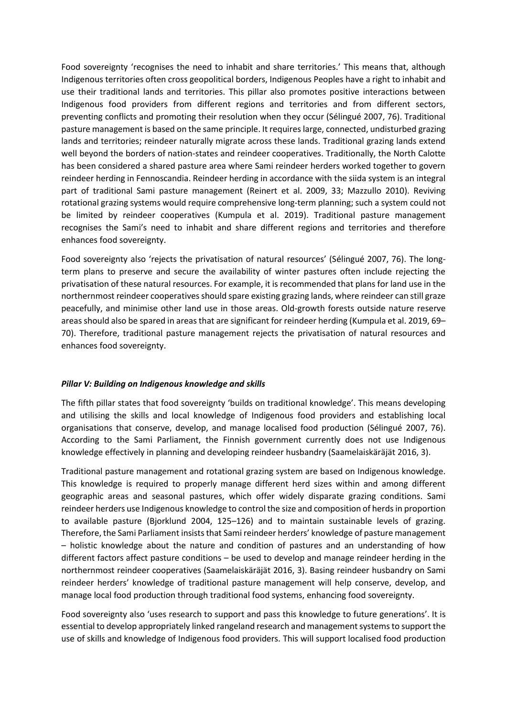Food sovereignty 'recognises the need to inhabit and share territories.' This means that, although Indigenous territories often cross geopolitical borders, Indigenous Peoples have a right to inhabit and use their traditional lands and territories. This pillar also promotes positive interactions between Indigenous food providers from different regions and territories and from different sectors, preventing conflicts and promoting their resolution when they occur (Sélingué 2007, 76). Traditional pasture management is based on the same principle. It requires large, connected, undisturbed grazing lands and territories; reindeer naturally migrate across these lands. Traditional grazing lands extend well beyond the borders of nation-states and reindeer cooperatives. Traditionally, the North Calotte has been considered a shared pasture area where Sami reindeer herders worked together to govern reindeer herding in Fennoscandia. Reindeer herding in accordance with the siida system is an integral part of traditional Sami pasture management (Reinert et al. 2009, 33; Mazzullo 2010). Reviving rotational grazing systems would require comprehensive long-term planning; such a system could not be limited by reindeer cooperatives (Kumpula et al. 2019). Traditional pasture management recognises the Sami's need to inhabit and share different regions and territories and therefore enhances food sovereignty.

Food sovereignty also 'rejects the privatisation of natural resources' (Sélingué 2007, 76). The longterm plans to preserve and secure the availability of winter pastures often include rejecting the privatisation of these natural resources. For example, it is recommended that plans for land use in the northernmost reindeer cooperatives should spare existing grazing lands, where reindeer can still graze peacefully, and minimise other land use in those areas. Old-growth forests outside nature reserve areas should also be spared in areas that are significant for reindeer herding (Kumpula et al. 2019, 69– 70). Therefore, traditional pasture management rejects the privatisation of natural resources and enhances food sovereignty.

#### *Pillar V: Building on Indigenous knowledge and skills*

The fifth pillar states that food sovereignty 'builds on traditional knowledge'. This means developing and utilising the skills and local knowledge of Indigenous food providers and establishing local organisations that conserve, develop, and manage localised food production (Sélingué 2007, 76). According to the Sami Parliament, the Finnish government currently does not use Indigenous knowledge effectively in planning and developing reindeer husbandry (Saamelaiskäräjät 2016, 3).

Traditional pasture management and rotational grazing system are based on Indigenous knowledge. This knowledge is required to properly manage different herd sizes within and among different geographic areas and seasonal pastures, which offer widely disparate grazing conditions. Sami reindeer herders use Indigenous knowledge to control the size and composition of herds in proportion to available pasture (Bjorklund 2004, 125–126) and to maintain sustainable levels of grazing. Therefore, the Sami Parliament insists that Sami reindeer herders' knowledge of pasture management – holistic knowledge about the nature and condition of pastures and an understanding of how different factors affect pasture conditions – be used to develop and manage reindeer herding in the northernmost reindeer cooperatives (Saamelaiskäräjät 2016, 3). Basing reindeer husbandry on Sami reindeer herders' knowledge of traditional pasture management will help conserve, develop, and manage local food production through traditional food systems, enhancing food sovereignty.

Food sovereignty also 'uses research to support and pass this knowledge to future generations'. It is essential to develop appropriately linked rangeland research and management systems to support the use of skills and knowledge of Indigenous food providers. This will support localised food production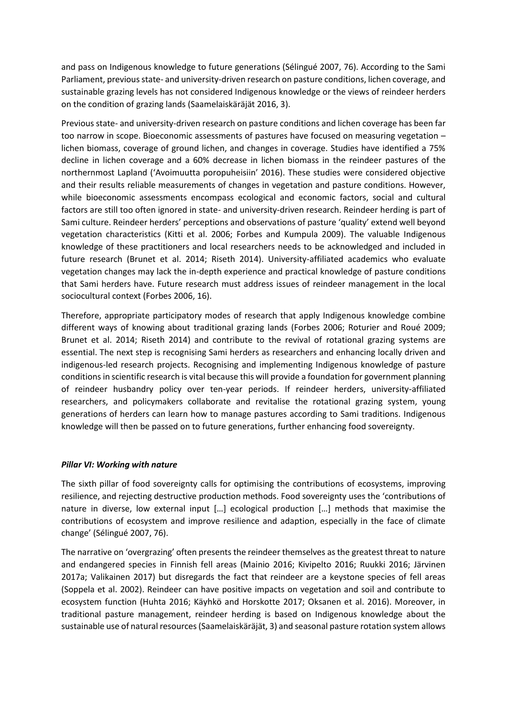and pass on Indigenous knowledge to future generations (Sélingué 2007, 76). According to the Sami Parliament, previous state- and university-driven research on pasture conditions, lichen coverage, and sustainable grazing levels has not considered Indigenous knowledge or the views of reindeer herders on the condition of grazing lands (Saamelaiskäräjät 2016, 3).

Previous state- and university-driven research on pasture conditions and lichen coverage has been far too narrow in scope. Bioeconomic assessments of pastures have focused on measuring vegetation – lichen biomass, coverage of ground lichen, and changes in coverage. Studies have identified a 75% decline in lichen coverage and a 60% decrease in lichen biomass in the reindeer pastures of the northernmost Lapland ('Avoimuutta poropuheisiin' 2016). These studies were considered objective and their results reliable measurements of changes in vegetation and pasture conditions. However, while bioeconomic assessments encompass ecological and economic factors, social and cultural factors are still too often ignored in state- and university-driven research. Reindeer herding is part of Sami culture. Reindeer herders' perceptions and observations of pasture 'quality' extend well beyond vegetation characteristics (Kitti et al. 2006; Forbes and Kumpula 2009). The valuable Indigenous knowledge of these practitioners and local researchers needs to be acknowledged and included in future research (Brunet et al. 2014; Riseth 2014). University-affiliated academics who evaluate vegetation changes may lack the in-depth experience and practical knowledge of pasture conditions that Sami herders have. Future research must address issues of reindeer management in the local sociocultural context (Forbes 2006, 16).

Therefore, appropriate participatory modes of research that apply Indigenous knowledge combine different ways of knowing about traditional grazing lands (Forbes 2006; Roturier and Roué 2009; Brunet et al. 2014; Riseth 2014) and contribute to the revival of rotational grazing systems are essential. The next step is recognising Sami herders as researchers and enhancing locally driven and indigenous-led research projects. Recognising and implementing Indigenous knowledge of pasture conditions in scientific research is vital because this will provide a foundation for government planning of reindeer husbandry policy over ten-year periods. If reindeer herders, university-affiliated researchers, and policymakers collaborate and revitalise the rotational grazing system, young generations of herders can learn how to manage pastures according to Sami traditions. Indigenous knowledge will then be passed on to future generations, further enhancing food sovereignty.

#### *Pillar VI: Working with nature*

The sixth pillar of food sovereignty calls for optimising the contributions of ecosystems, improving resilience, and rejecting destructive production methods. Food sovereignty uses the 'contributions of nature in diverse, low external input […] ecological production […] methods that maximise the contributions of ecosystem and improve resilience and adaption, especially in the face of climate change' (Sélingué 2007, 76).

The narrative on 'overgrazing' often presents the reindeer themselves as the greatest threat to nature and endangered species in Finnish fell areas (Mainio 2016; Kivipelto 2016; Ruukki 2016; Järvinen 2017a; Valikainen 2017) but disregards the fact that reindeer are a keystone species of fell areas (Soppela et al. 2002). Reindeer can have positive impacts on vegetation and soil and contribute to ecosystem function (Huhta 2016; Käyhkö and Horskotte 2017; Oksanen et al. 2016). Moreover, in traditional pasture management, reindeer herding is based on Indigenous knowledge about the sustainable use of natural resources (Saamelaiskäräjät, 3) and seasonal pasture rotation system allows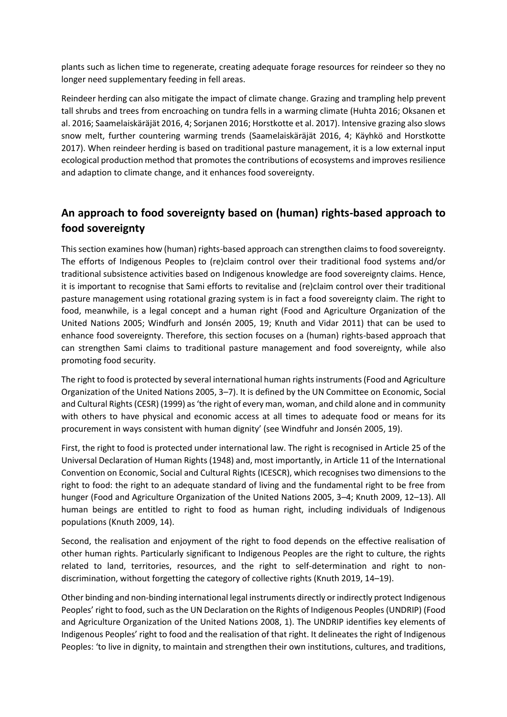plants such as lichen time to regenerate, creating adequate forage resources for reindeer so they no longer need supplementary feeding in fell areas.

Reindeer herding can also mitigate the impact of climate change. Grazing and trampling help prevent tall shrubs and trees from encroaching on tundra fells in a warming climate (Huhta 2016; Oksanen et al. 2016; Saamelaiskäräjät 2016, 4; Sorjanen 2016; Horstkotte et al. 2017). Intensive grazing also slows snow melt, further countering warming trends (Saamelaiskäräjät 2016, 4; Käyhkö and Horstkotte 2017). When reindeer herding is based on traditional pasture management, it is a low external input ecological production method that promotes the contributions of ecosystems and improves resilience and adaption to climate change, and it enhances food sovereignty.

## **An approach to food sovereignty based on (human) rights-based approach to food sovereignty**

This section examines how (human) rights-based approach can strengthen claims to food sovereignty. The efforts of Indigenous Peoples to (re)claim control over their traditional food systems and/or traditional subsistence activities based on Indigenous knowledge are food sovereignty claims. Hence, it is important to recognise that Sami efforts to revitalise and (re)claim control over their traditional pasture management using rotational grazing system is in fact a food sovereignty claim. The right to food, meanwhile, is a legal concept and a human right (Food and Agriculture Organization of the United Nations 2005; Windfurh and Jonsén 2005, 19; Knuth and Vidar 2011) that can be used to enhance food sovereignty. Therefore, this section focuses on a (human) rights-based approach that can strengthen Sami claims to traditional pasture management and food sovereignty, while also promoting food security.

The right to food is protected by several international human rights instruments (Food and Agriculture Organization of the United Nations 2005, 3–7). It is defined by the UN Committee on Economic, Social and Cultural Rights (CESR) (1999) as 'the right of every man, woman, and child alone and in community with others to have physical and economic access at all times to adequate food or means for its procurement in ways consistent with human dignity' (see Windfuhr and Jonsén 2005, 19).

First, the right to food is protected under international law. The right is recognised in Article 25 of the Universal Declaration of Human Rights (1948) and, most importantly, in Article 11 of the International Convention on Economic, Social and Cultural Rights (ICESCR), which recognises two dimensions to the right to food: the right to an adequate standard of living and the fundamental right to be free from hunger (Food and Agriculture Organization of the United Nations 2005, 3–4; Knuth 2009, 12–13). All human beings are entitled to right to food as human right, including individuals of Indigenous populations (Knuth 2009, 14).

Second, the realisation and enjoyment of the right to food depends on the effective realisation of other human rights. Particularly significant to Indigenous Peoples are the right to culture, the rights related to land, territories, resources, and the right to self-determination and right to nondiscrimination, without forgetting the category of collective rights (Knuth 2019, 14–19).

Other binding and non-binding international legal instruments directly or indirectly protect Indigenous Peoples' right to food, such as the UN Declaration on the Rights of Indigenous Peoples (UNDRIP) (Food and Agriculture Organization of the United Nations 2008, 1). The UNDRIP identifies key elements of Indigenous Peoples' right to food and the realisation of that right. It delineates the right of Indigenous Peoples: 'to live in dignity, to maintain and strengthen their own institutions, cultures, and traditions,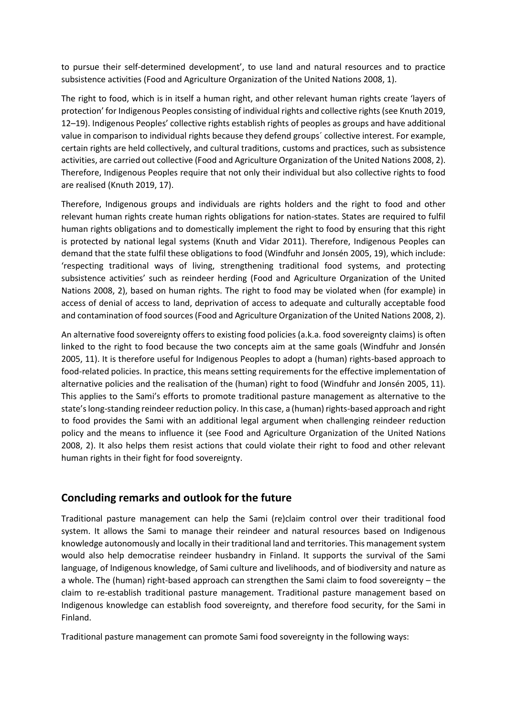to pursue their self-determined development', to use land and natural resources and to practice subsistence activities (Food and Agriculture Organization of the United Nations 2008, 1).

The right to food, which is in itself a human right, and other relevant human rights create 'layers of protection' for Indigenous Peoples consisting of individual rights and collective rights (see Knuth 2019, 12–19). Indigenous Peoples' collective rights establish rights of peoples as groups and have additional value in comparison to individual rights because they defend groups´ collective interest. For example, certain rights are held collectively, and cultural traditions, customs and practices, such as subsistence activities, are carried out collective (Food and Agriculture Organization of the United Nations 2008, 2). Therefore, Indigenous Peoples require that not only their individual but also collective rights to food are realised (Knuth 2019, 17).

Therefore, Indigenous groups and individuals are rights holders and the right to food and other relevant human rights create human rights obligations for nation-states. States are required to fulfil human rights obligations and to domestically implement the right to food by ensuring that this right is protected by national legal systems (Knuth and Vidar 2011). Therefore, Indigenous Peoples can demand that the state fulfil these obligations to food (Windfuhr and Jonsén 2005, 19), which include: 'respecting traditional ways of living, strengthening traditional food systems, and protecting subsistence activities' such as reindeer herding (Food and Agriculture Organization of the United Nations 2008, 2), based on human rights. The right to food may be violated when (for example) in access of denial of access to land, deprivation of access to adequate and culturally acceptable food and contamination of food sources (Food and Agriculture Organization of the United Nations 2008, 2).

An alternative food sovereignty offers to existing food policies (a.k.a. food sovereignty claims) is often linked to the right to food because the two concepts aim at the same goals (Windfuhr and Jonsén 2005, 11). It is therefore useful for Indigenous Peoples to adopt a (human) rights-based approach to food-related policies. In practice, this means setting requirements for the effective implementation of alternative policies and the realisation of the (human) right to food (Windfuhr and Jonsén 2005, 11). This applies to the Sami's efforts to promote traditional pasture management as alternative to the state's long-standing reindeer reduction policy. In this case, a (human) rights-based approach and right to food provides the Sami with an additional legal argument when challenging reindeer reduction policy and the means to influence it (see Food and Agriculture Organization of the United Nations 2008, 2). It also helps them resist actions that could violate their right to food and other relevant human rights in their fight for food sovereignty.

### **Concluding remarks and outlook for the future**

Traditional pasture management can help the Sami (re)claim control over their traditional food system. It allows the Sami to manage their reindeer and natural resources based on Indigenous knowledge autonomously and locally in their traditional land and territories. This management system would also help democratise reindeer husbandry in Finland. It supports the survival of the Sami language, of Indigenous knowledge, of Sami culture and livelihoods, and of biodiversity and nature as a whole. The (human) right-based approach can strengthen the Sami claim to food sovereignty – the claim to re-establish traditional pasture management. Traditional pasture management based on Indigenous knowledge can establish food sovereignty, and therefore food security, for the Sami in Finland.

Traditional pasture management can promote Sami food sovereignty in the following ways: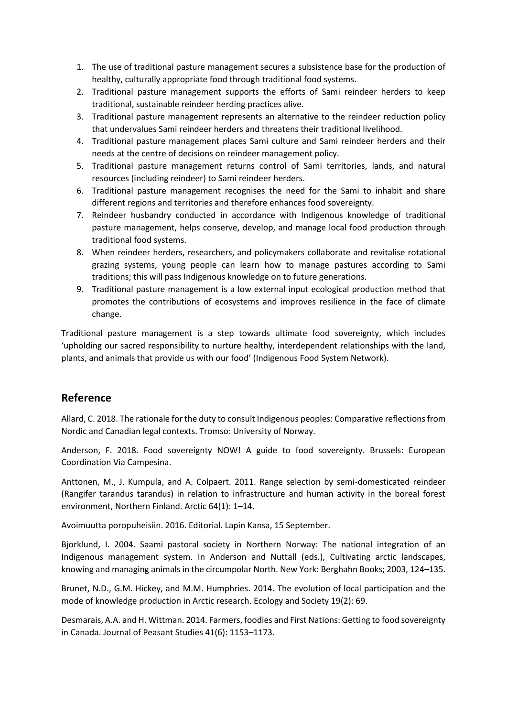- 1. The use of traditional pasture management secures a subsistence base for the production of healthy, culturally appropriate food through traditional food systems.
- 2. Traditional pasture management supports the efforts of Sami reindeer herders to keep traditional, sustainable reindeer herding practices alive.
- 3. Traditional pasture management represents an alternative to the reindeer reduction policy that undervalues Sami reindeer herders and threatens their traditional livelihood.
- 4. Traditional pasture management places Sami culture and Sami reindeer herders and their needs at the centre of decisions on reindeer management policy.
- 5. Traditional pasture management returns control of Sami territories, lands, and natural resources (including reindeer) to Sami reindeer herders.
- 6. Traditional pasture management recognises the need for the Sami to inhabit and share different regions and territories and therefore enhances food sovereignty.
- 7. Reindeer husbandry conducted in accordance with Indigenous knowledge of traditional pasture management, helps conserve, develop, and manage local food production through traditional food systems.
- 8. When reindeer herders, researchers, and policymakers collaborate and revitalise rotational grazing systems, young people can learn how to manage pastures according to Sami traditions; this will pass Indigenous knowledge on to future generations.
- 9. Traditional pasture management is a low external input ecological production method that promotes the contributions of ecosystems and improves resilience in the face of climate change.

Traditional pasture management is a step towards ultimate food sovereignty, which includes 'upholding our sacred responsibility to nurture healthy, interdependent relationships with the land, plants, and animals that provide us with our food' (Indigenous Food System Network).

### **Reference**

Allard, C. 2018. The rationale for the duty to consult Indigenous peoples: Comparative reflections from Nordic and Canadian legal contexts. Tromso: University of Norway.

Anderson, F. 2018. Food sovereignty NOW! A guide to food sovereignty. Brussels: European Coordination Via Campesina.

Anttonen, M., J. Kumpula, and A. Colpaert. 2011. Range selection by semi-domesticated reindeer (Rangifer tarandus tarandus) in relation to infrastructure and human activity in the boreal forest environment, Northern Finland. Arctic 64(1): 1–14.

Avoimuutta poropuheisiin. 2016. Editorial. Lapin Kansa, 15 September.

Bjorklund, I. 2004. Saami pastoral society in Northern Norway: The national integration of an Indigenous management system. In Anderson and Nuttall (eds.), Cultivating arctic landscapes, knowing and managing animals in the circumpolar North. New York: Berghahn Books; 2003, 124–135.

Brunet, N.D., G.M. Hickey, and M.M. Humphries. 2014. The evolution of local participation and the mode of knowledge production in Arctic research. Ecology and Society 19(2): 69.

Desmarais, A.A. and H. Wittman. 2014. Farmers, foodies and First Nations: Getting to food sovereignty in Canada. Journal of Peasant Studies 41(6): 1153–1173.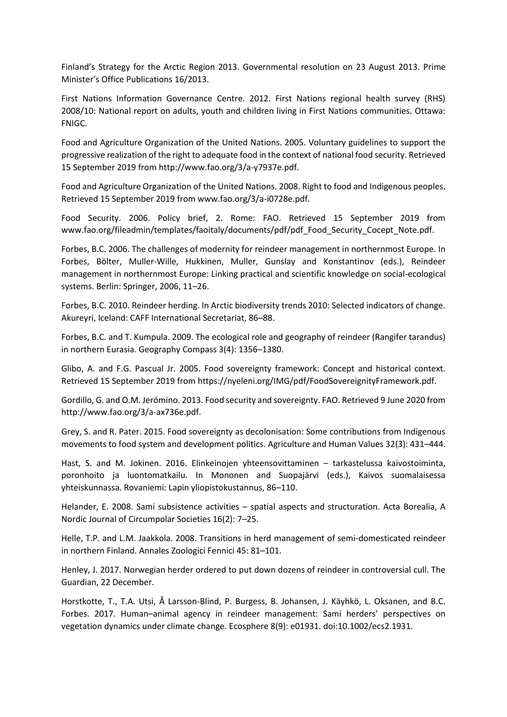Finland's Strategy for the Arctic Region 2013. Governmental resolution on 23 August 2013. Prime Minister's Office Publications 16/2013.

First Nations Information Governance Centre. 2012. First Nations regional health survey (RHS) 2008/10: National report on adults, youth and children living in First Nations communities. Ottawa: FNIGC.

Food and Agriculture Organization of the United Nations. 2005. Voluntary guidelines to support the progressive realization of the right to adequate food in the context of national food security. Retrieved 15 September 2019 from http://www.fao.org/3/a-y7937e.pdf.

Food and Agriculture Organization of the United Nations. 2008. Right to food and Indigenous peoples. Retrieved 15 September 2019 from www.fao.org/3/a-i0728e.pdf.

Food Security. 2006. Policy brief, 2. Rome: FAO. Retrieved 15 September 2019 from www.fao.org/fileadmin/templates/faoitaly/documents/pdf/pdf\_Food\_Security\_Cocept\_Note.pdf.

Forbes, B.C. 2006. The challenges of modernity for reindeer management in northernmost Europe. In Forbes, Bölter, Muller-Wille, Hukkinen, Muller, Gunslay and Konstantinov (eds.), Reindeer management in northernmost Europe: Linking practical and scientific knowledge on social-ecological systems. Berlin: Springer, 2006, 11–26.

Forbes, B.C. 2010. Reindeer herding. In Arctic biodiversity trends 2010: Selected indicators of change. Akureyri, Iceland: CAFF International Secretariat, 86–88.

Forbes, B.C. and T. Kumpula. 2009. The ecological role and geography of reindeer (Rangifer tarandus) in northern Eurasia. Geography Compass 3(4): 1356–1380.

Glibo, A. and F.G. Pascual Jr. 2005. Food sovereignty framework: Concept and historical context. Retrieved 15 September 2019 from https://nyeleni.org/IMG/pdf/FoodSovereignityFramework.pdf.

Gordillo, G. and O.M. Jerómino. 2013. Food security and sovereignty. FAO. Retrieved 9 June 2020 from http://www.fao.org/3/a-ax736e.pdf.

Grey, S. and R. Pater. 2015. Food sovereignty as decolonisation: Some contributions from Indigenous movements to food system and development politics. Agriculture and Human Values 32(3): 431–444.

Hast, S. and M. Jokinen. 2016. Elinkeinojen yhteensovittaminen – tarkastelussa kaivostoiminta, poronhoito ja luontomatkailu. In Mononen and Suopajärvi (eds.), Kaivos suomalaisessa yhteiskunnassa. Rovaniemi: Lapin yliopistokustannus, 86–110.

Helander, E. 2008. Sami subsistence activities – spatial aspects and structuration. Acta Borealia, A Nordic Journal of Circumpolar Societies 16(2): 7–25.

Helle, T.P. and L.M. Jaakkola. 2008. Transitions in herd management of semi-domesticated reindeer in northern Finland. Annales Zoologici Fennici 45: 81–101.

Henley, J. 2017. Norwegian herder ordered to put down dozens of reindeer in controversial cull. The Guardian, 22 December.

Horstkotte, T., T.A. Utsi, Å Larsson-Blind, P. Burgess, B. Johansen, J. Käyhkö, L. Oksanen, and B.C. Forbes. 2017. Human–animal agency in reindeer management: Sami herders' perspectives on vegetation dynamics under climate change. Ecosphere 8(9): e01931. doi:10.1002/ecs2.1931.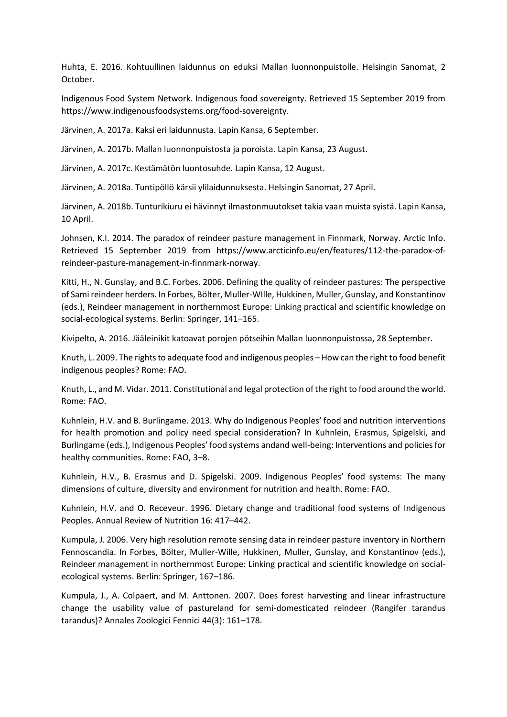Huhta, E. 2016. Kohtuullinen laidunnus on eduksi Mallan luonnonpuistolle. Helsingin Sanomat, 2 October.

Indigenous Food System Network. Indigenous food sovereignty. Retrieved 15 September 2019 from https://www.indigenousfoodsystems.org/food-sovereignty.

Järvinen, A. 2017a. Kaksi eri laidunnusta. Lapin Kansa, 6 September.

Järvinen, A. 2017b. Mallan luonnonpuistosta ja poroista. Lapin Kansa, 23 August.

Järvinen, A. 2017c. Kestämätön luontosuhde. Lapin Kansa, 12 August.

Järvinen, A. 2018a. Tuntipöllö kärsii ylilaidunnuksesta. Helsingin Sanomat, 27 April.

Järvinen, A. 2018b. Tunturikiuru ei hävinnyt ilmastonmuutokset takia vaan muista syistä. Lapin Kansa, 10 April.

Johnsen, K.I. 2014. The paradox of reindeer pasture management in Finnmark, Norway. Arctic Info. Retrieved 15 September 2019 from https://www.arcticinfo.eu/en/features/112-the-paradox-ofreindeer-pasture-management-in-finnmark-norway.

Kitti, H., N. Gunslay, and B.C. Forbes. 2006. Defining the quality of reindeer pastures: The perspective of Sami reindeer herders. In Forbes, Bölter, Muller-WIlle, Hukkinen, Muller, Gunslay, and Konstantinov (eds.), Reindeer management in northernmost Europe: Linking practical and scientific knowledge on social-ecological systems. Berlin: Springer, 141–165.

Kivipelto, A. 2016. Jääleinikit katoavat porojen pötseihin Mallan luonnonpuistossa, 28 September.

Knuth, L. 2009. The rights to adequate food and indigenous peoples – How can the right to food benefit indigenous peoples? Rome: FAO.

Knuth, L., and M. Vidar. 2011. Constitutional and legal protection of the right to food around the world. Rome: FAO.

Kuhnlein, H.V. and B. Burlingame. 2013. Why do Indigenous Peoples' food and nutrition interventions for health promotion and policy need special consideration? In Kuhnlein, Erasmus, Spigelski, and Burlingame (eds.), Indigenous Peoples' food systems andand well-being: Interventions and policies for healthy communities. Rome: FAO, 3–8.

Kuhnlein, H.V., B. Erasmus and D. Spigelski. 2009. Indigenous Peoples' food systems: The many dimensions of culture, diversity and environment for nutrition and health. Rome: FAO.

Kuhnlein, H.V. and O. Receveur. 1996. Dietary change and traditional food systems of Indigenous Peoples. Annual Review of Nutrition 16: 417–442.

Kumpula, J. 2006. Very high resolution remote sensing data in reindeer pasture inventory in Northern Fennoscandia. In Forbes, Bölter, Muller-Wille, Hukkinen, Muller, Gunslay, and Konstantinov (eds.), Reindeer management in northernmost Europe: Linking practical and scientific knowledge on socialecological systems. Berlin: Springer, 167–186.

Kumpula, J., A. Colpaert, and M. Anttonen. 2007. Does forest harvesting and linear infrastructure change the usability value of pastureland for semi-domesticated reindeer (Rangifer tarandus tarandus)? Annales Zoologici Fennici 44(3): 161–178.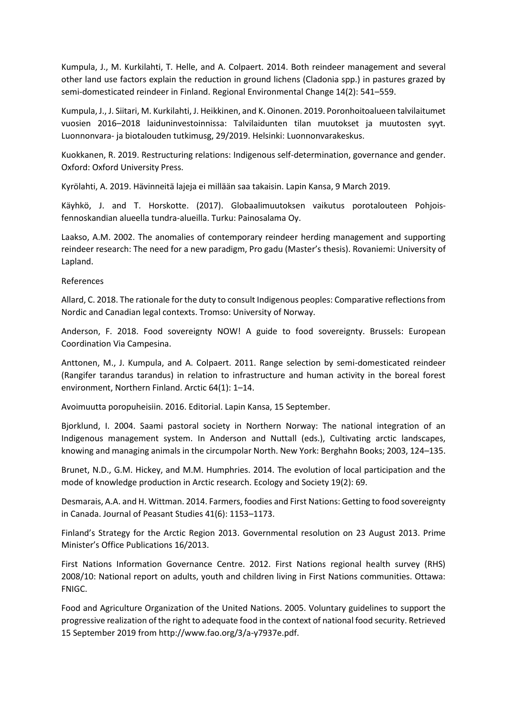Kumpula, J., M. Kurkilahti, T. Helle, and A. Colpaert. 2014. Both reindeer management and several other land use factors explain the reduction in ground lichens (Cladonia spp.) in pastures grazed by semi-domesticated reindeer in Finland. Regional Environmental Change 14(2): 541–559.

Kumpula, J., J. Siitari, M. Kurkilahti, J. Heikkinen, and K. Oinonen. 2019. Poronhoitoalueen talvilaitumet vuosien 2016–2018 laiduninvestoinnissa: Talvilaidunten tilan muutokset ja muutosten syyt. Luonnonvara- ja biotalouden tutkimusg, 29/2019. Helsinki: Luonnonvarakeskus.

Kuokkanen, R. 2019. Restructuring relations: Indigenous self-determination, governance and gender. Oxford: Oxford University Press.

Kyrölahti, A. 2019. Hävinneitä lajeja ei millään saa takaisin. Lapin Kansa, 9 March 2019.

Käyhkö, J. and T. Horskotte. (2017). Globaalimuutoksen vaikutus porotalouteen Pohjoisfennoskandian alueella tundra-alueilla. Turku: Painosalama Oy.

Laakso, A.M. 2002. The anomalies of contemporary reindeer herding management and supporting reindeer research: The need for a new paradigm, Pro gadu (Master's thesis). Rovaniemi: University of Lapland.

References

Allard, C. 2018. The rationale for the duty to consult Indigenous peoples: Comparative reflections from Nordic and Canadian legal contexts. Tromso: University of Norway.

Anderson, F. 2018. Food sovereignty NOW! A guide to food sovereignty. Brussels: European Coordination Via Campesina.

Anttonen, M., J. Kumpula, and A. Colpaert. 2011. Range selection by semi-domesticated reindeer (Rangifer tarandus tarandus) in relation to infrastructure and human activity in the boreal forest environment, Northern Finland. Arctic 64(1): 1–14.

Avoimuutta poropuheisiin. 2016. Editorial. Lapin Kansa, 15 September.

Bjorklund, I. 2004. Saami pastoral society in Northern Norway: The national integration of an Indigenous management system. In Anderson and Nuttall (eds.), Cultivating arctic landscapes, knowing and managing animals in the circumpolar North. New York: Berghahn Books; 2003, 124–135.

Brunet, N.D., G.M. Hickey, and M.M. Humphries. 2014. The evolution of local participation and the mode of knowledge production in Arctic research. Ecology and Society 19(2): 69.

Desmarais, A.A. and H. Wittman. 2014. Farmers, foodies and First Nations: Getting to food sovereignty in Canada. Journal of Peasant Studies 41(6): 1153–1173.

Finland's Strategy for the Arctic Region 2013. Governmental resolution on 23 August 2013. Prime Minister's Office Publications 16/2013.

First Nations Information Governance Centre. 2012. First Nations regional health survey (RHS) 2008/10: National report on adults, youth and children living in First Nations communities. Ottawa: FNIGC.

Food and Agriculture Organization of the United Nations. 2005. Voluntary guidelines to support the progressive realization of the right to adequate food in the context of national food security. Retrieved 15 September 2019 from http://www.fao.org/3/a-y7937e.pdf.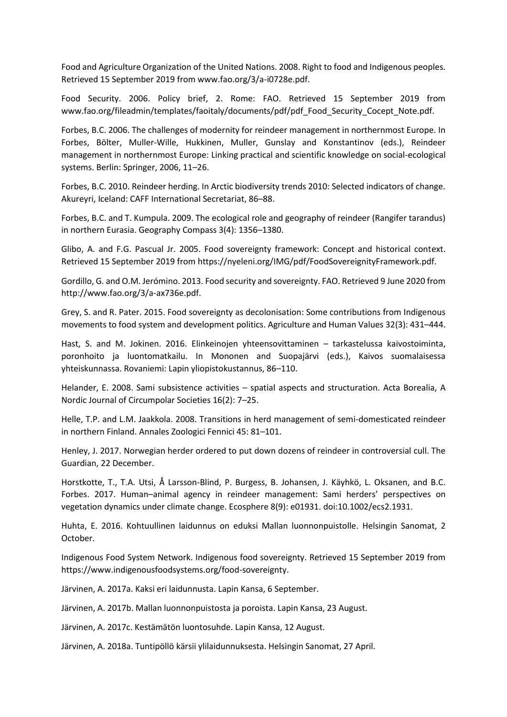Food and Agriculture Organization of the United Nations. 2008. Right to food and Indigenous peoples. Retrieved 15 September 2019 from www.fao.org/3/a-i0728e.pdf.

Food Security. 2006. Policy brief, 2. Rome: FAO. Retrieved 15 September 2019 from www.fao.org/fileadmin/templates/faoitaly/documents/pdf/pdf\_Food\_Security\_Cocept\_Note.pdf.

Forbes, B.C. 2006. The challenges of modernity for reindeer management in northernmost Europe. In Forbes, Bölter, Muller-Wille, Hukkinen, Muller, Gunslay and Konstantinov (eds.), Reindeer management in northernmost Europe: Linking practical and scientific knowledge on social-ecological systems. Berlin: Springer, 2006, 11–26.

Forbes, B.C. 2010. Reindeer herding. In Arctic biodiversity trends 2010: Selected indicators of change. Akureyri, Iceland: CAFF International Secretariat, 86–88.

Forbes, B.C. and T. Kumpula. 2009. The ecological role and geography of reindeer (Rangifer tarandus) in northern Eurasia. Geography Compass 3(4): 1356–1380.

Glibo, A. and F.G. Pascual Jr. 2005. Food sovereignty framework: Concept and historical context. Retrieved 15 September 2019 from https://nyeleni.org/IMG/pdf/FoodSovereignityFramework.pdf.

Gordillo, G. and O.M. Jerómino. 2013. Food security and sovereignty. FAO. Retrieved 9 June 2020 from http://www.fao.org/3/a-ax736e.pdf.

Grey, S. and R. Pater. 2015. Food sovereignty as decolonisation: Some contributions from Indigenous movements to food system and development politics. Agriculture and Human Values 32(3): 431–444.

Hast, S. and M. Jokinen. 2016. Elinkeinojen yhteensovittaminen – tarkastelussa kaivostoiminta, poronhoito ja luontomatkailu. In Mononen and Suopajärvi (eds.), Kaivos suomalaisessa yhteiskunnassa. Rovaniemi: Lapin yliopistokustannus, 86–110.

Helander, E. 2008. Sami subsistence activities – spatial aspects and structuration. Acta Borealia, A Nordic Journal of Circumpolar Societies 16(2): 7–25.

Helle, T.P. and L.M. Jaakkola. 2008. Transitions in herd management of semi-domesticated reindeer in northern Finland. Annales Zoologici Fennici 45: 81–101.

Henley, J. 2017. Norwegian herder ordered to put down dozens of reindeer in controversial cull. The Guardian, 22 December.

Horstkotte, T., T.A. Utsi, Å Larsson-Blind, P. Burgess, B. Johansen, J. Käyhkö, L. Oksanen, and B.C. Forbes. 2017. Human–animal agency in reindeer management: Sami herders' perspectives on vegetation dynamics under climate change. Ecosphere 8(9): e01931. doi:10.1002/ecs2.1931.

Huhta, E. 2016. Kohtuullinen laidunnus on eduksi Mallan luonnonpuistolle. Helsingin Sanomat, 2 October.

Indigenous Food System Network. Indigenous food sovereignty. Retrieved 15 September 2019 from https://www.indigenousfoodsystems.org/food-sovereignty.

Järvinen, A. 2017a. Kaksi eri laidunnusta. Lapin Kansa, 6 September.

Järvinen, A. 2017b. Mallan luonnonpuistosta ja poroista. Lapin Kansa, 23 August.

Järvinen, A. 2017c. Kestämätön luontosuhde. Lapin Kansa, 12 August.

Järvinen, A. 2018a. Tuntipöllö kärsii ylilaidunnuksesta. Helsingin Sanomat, 27 April.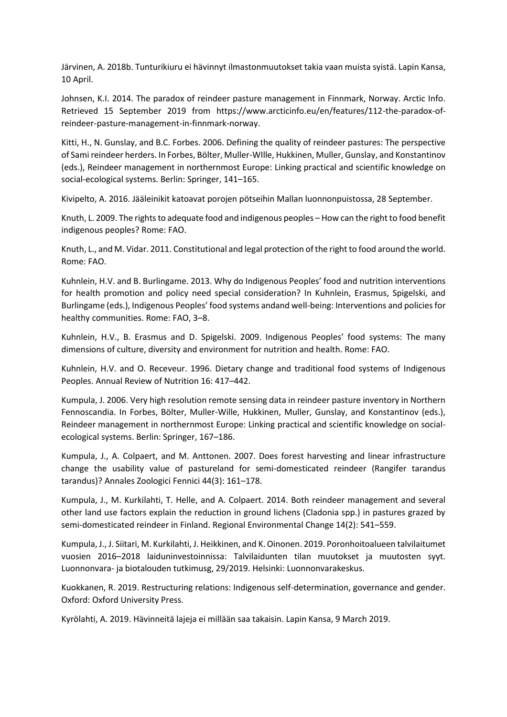Järvinen, A. 2018b. Tunturikiuru ei hävinnyt ilmastonmuutokset takia vaan muista syistä. Lapin Kansa, 10 April.

Johnsen, K.I. 2014. The paradox of reindeer pasture management in Finnmark, Norway. Arctic Info. Retrieved 15 September 2019 from https://www.arcticinfo.eu/en/features/112-the-paradox-ofreindeer-pasture-management-in-finnmark-norway.

Kitti, H., N. Gunslay, and B.C. Forbes. 2006. Defining the quality of reindeer pastures: The perspective of Sami reindeer herders. In Forbes, Bölter, Muller-WIlle, Hukkinen, Muller, Gunslay, and Konstantinov (eds.), Reindeer management in northernmost Europe: Linking practical and scientific knowledge on social-ecological systems. Berlin: Springer, 141–165.

Kivipelto, A. 2016. Jääleinikit katoavat porojen pötseihin Mallan luonnonpuistossa, 28 September.

Knuth, L. 2009. The rights to adequate food and indigenous peoples – How can the right to food benefit indigenous peoples? Rome: FAO.

Knuth, L., and M. Vidar. 2011. Constitutional and legal protection of the right to food around the world. Rome: FAO.

Kuhnlein, H.V. and B. Burlingame. 2013. Why do Indigenous Peoples' food and nutrition interventions for health promotion and policy need special consideration? In Kuhnlein, Erasmus, Spigelski, and Burlingame (eds.), Indigenous Peoples' food systems andand well-being: Interventions and policies for healthy communities. Rome: FAO, 3–8.

Kuhnlein, H.V., B. Erasmus and D. Spigelski. 2009. Indigenous Peoples' food systems: The many dimensions of culture, diversity and environment for nutrition and health. Rome: FAO.

Kuhnlein, H.V. and O. Receveur. 1996. Dietary change and traditional food systems of Indigenous Peoples. Annual Review of Nutrition 16: 417–442.

Kumpula, J. 2006. Very high resolution remote sensing data in reindeer pasture inventory in Northern Fennoscandia. In Forbes, Bölter, Muller-Wille, Hukkinen, Muller, Gunslay, and Konstantinov (eds.), Reindeer management in northernmost Europe: Linking practical and scientific knowledge on socialecological systems. Berlin: Springer, 167–186.

Kumpula, J., A. Colpaert, and M. Anttonen. 2007. Does forest harvesting and linear infrastructure change the usability value of pastureland for semi-domesticated reindeer (Rangifer tarandus tarandus)? Annales Zoologici Fennici 44(3): 161–178.

Kumpula, J., M. Kurkilahti, T. Helle, and A. Colpaert. 2014. Both reindeer management and several other land use factors explain the reduction in ground lichens (Cladonia spp.) in pastures grazed by semi-domesticated reindeer in Finland. Regional Environmental Change 14(2): 541–559.

Kumpula, J., J. Siitari, M. Kurkilahti, J. Heikkinen, and K. Oinonen. 2019. Poronhoitoalueen talvilaitumet vuosien 2016–2018 laiduninvestoinnissa: Talvilaidunten tilan muutokset ja muutosten syyt. Luonnonvara- ja biotalouden tutkimusg, 29/2019. Helsinki: Luonnonvarakeskus.

Kuokkanen, R. 2019. Restructuring relations: Indigenous self-determination, governance and gender. Oxford: Oxford University Press.

Kyrölahti, A. 2019. Hävinneitä lajeja ei millään saa takaisin. Lapin Kansa, 9 March 2019.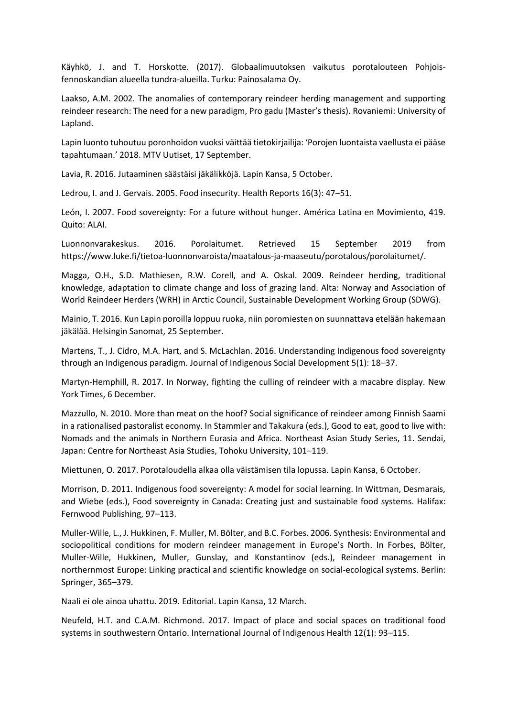Käyhkö, J. and T. Horskotte. (2017). Globaalimuutoksen vaikutus porotalouteen Pohjoisfennoskandian alueella tundra-alueilla. Turku: Painosalama Oy.

Laakso, A.M. 2002. The anomalies of contemporary reindeer herding management and supporting reindeer research: The need for a new paradigm, Pro gadu (Master's thesis). Rovaniemi: University of Lapland.

Lapin luonto tuhoutuu poronhoidon vuoksi väittää tietokirjailija: 'Porojen luontaista vaellusta ei pääse tapahtumaan.' 2018. MTV Uutiset, 17 September.

Lavia, R. 2016. Jutaaminen säästäisi jäkälikköjä. Lapin Kansa, 5 October.

Ledrou, I. and J. Gervais. 2005. Food insecurity. Health Reports 16(3): 47–51.

León, I. 2007. Food sovereignty: For a future without hunger. América Latina en Movimiento, 419. Quito: ALAI.

Luonnonvarakeskus. 2016. Porolaitumet. Retrieved 15 September 2019 from https://www.luke.fi/tietoa-luonnonvaroista/maatalous-ja-maaseutu/porotalous/porolaitumet/.

Magga, O.H., S.D. Mathiesen, R.W. Corell, and A. Oskal. 2009. Reindeer herding, traditional knowledge, adaptation to climate change and loss of grazing land. Alta: Norway and Association of World Reindeer Herders (WRH) in Arctic Council, Sustainable Development Working Group (SDWG).

Mainio, T. 2016. Kun Lapin poroilla loppuu ruoka, niin poromiesten on suunnattava etelään hakemaan jäkälää. Helsingin Sanomat, 25 September.

Martens, T., J. Cidro, M.A. Hart, and S. McLachlan. 2016. Understanding Indigenous food sovereignty through an Indigenous paradigm. Journal of Indigenous Social Development 5(1): 18–37.

Martyn-Hemphill, R. 2017. In Norway, fighting the culling of reindeer with a macabre display. New York Times, 6 December.

Mazzullo, N. 2010. More than meat on the hoof? Social significance of reindeer among Finnish Saami in a rationalised pastoralist economy. In Stammler and Takakura (eds.), Good to eat, good to live with: Nomads and the animals in Northern Eurasia and Africa. Northeast Asian Study Series, 11. Sendai, Japan: Centre for Northeast Asia Studies, Tohoku University, 101–119.

Miettunen, O. 2017. Porotaloudella alkaa olla väistämisen tila lopussa. Lapin Kansa, 6 October.

Morrison, D. 2011. Indigenous food sovereignty: A model for social learning. In Wittman, Desmarais, and Wiebe (eds.), Food sovereignty in Canada: Creating just and sustainable food systems. Halifax: Fernwood Publishing, 97–113.

Muller-Wille, L., J. Hukkinen, F. Muller, M. Bölter, and B.C. Forbes. 2006. Synthesis: Environmental and sociopolitical conditions for modern reindeer management in Europe's North. In Forbes, Bölter, Muller-Wille, Hukkinen, Muller, Gunslay, and Konstantinov (eds.), Reindeer management in northernmost Europe: Linking practical and scientific knowledge on social-ecological systems. Berlin: Springer, 365–379.

Naali ei ole ainoa uhattu. 2019. Editorial. Lapin Kansa, 12 March.

Neufeld, H.T. and C.A.M. Richmond. 2017. Impact of place and social spaces on traditional food systems in southwestern Ontario. International Journal of Indigenous Health 12(1): 93–115.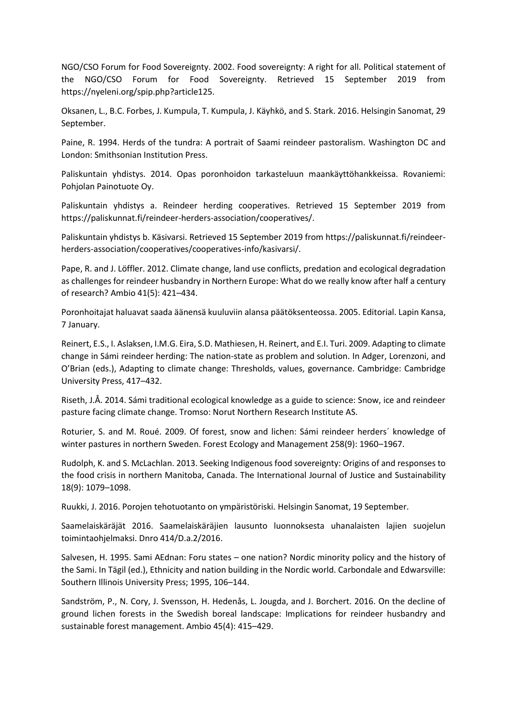NGO/CSO Forum for Food Sovereignty. 2002. Food sovereignty: A right for all. Political statement of the NGO/CSO Forum for Food Sovereignty. Retrieved 15 September 2019 from https://nyeleni.org/spip.php?article125.

Oksanen, L., B.C. Forbes, J. Kumpula, T. Kumpula, J. Käyhkö, and S. Stark. 2016. Helsingin Sanomat, 29 September.

Paine, R. 1994. Herds of the tundra: A portrait of Saami reindeer pastoralism. Washington DC and London: Smithsonian Institution Press.

Paliskuntain yhdistys. 2014. Opas poronhoidon tarkasteluun maankäyttöhankkeissa. Rovaniemi: Pohjolan Painotuote Oy.

Paliskuntain yhdistys a. Reindeer herding cooperatives. Retrieved 15 September 2019 from https://paliskunnat.fi/reindeer-herders-association/cooperatives/.

Paliskuntain yhdistys b. Käsivarsi. Retrieved 15 September 2019 from https://paliskunnat.fi/reindeerherders-association/cooperatives/cooperatives-info/kasivarsi/.

Pape, R. and J. Löffler. 2012. Climate change, land use conflicts, predation and ecological degradation as challenges for reindeer husbandry in Northern Europe: What do we really know after half a century of research? Ambio 41(5): 421–434.

Poronhoitajat haluavat saada äänensä kuuluviin alansa päätöksenteossa. 2005. Editorial. Lapin Kansa, 7 January.

Reinert, E.S., I. Aslaksen, I.M.G. Eira, S.D. Mathiesen, H. Reinert, and E.I. Turi. 2009. Adapting to climate change in Sámi reindeer herding: The nation-state as problem and solution. In Adger, Lorenzoni, and O'Brian (eds.), Adapting to climate change: Thresholds, values, governance. Cambridge: Cambridge University Press, 417–432.

Riseth, J.Å. 2014. Sámi traditional ecological knowledge as a guide to science: Snow, ice and reindeer pasture facing climate change. Tromso: Norut Northern Research Institute AS.

Roturier, S. and M. Roué. 2009. Of forest, snow and lichen: Sámi reindeer herders´ knowledge of winter pastures in northern Sweden. Forest Ecology and Management 258(9): 1960–1967.

Rudolph, K. and S. McLachlan. 2013. Seeking Indigenous food sovereignty: Origins of and responses to the food crisis in northern Manitoba, Canada. The International Journal of Justice and Sustainability 18(9): 1079–1098.

Ruukki, J. 2016. Porojen tehotuotanto on ympäristöriski. Helsingin Sanomat, 19 September.

Saamelaiskäräjät 2016. Saamelaiskäräjien lausunto luonnoksesta uhanalaisten lajien suojelun toimintaohjelmaksi. Dnro 414/D.a.2/2016.

Salvesen, H. 1995. Sami AEdnan: Foru states – one nation? Nordic minority policy and the history of the Sami. In Tägil (ed.), Ethnicity and nation building in the Nordic world. Carbondale and Edwarsville: Southern Illinois University Press; 1995, 106–144.

Sandström, P., N. Cory, J. Svensson, H. Hedenås, L. Jougda, and J. Borchert. 2016. On the decline of ground lichen forests in the Swedish boreal landscape: Implications for reindeer husbandry and sustainable forest management. Ambio 45(4): 415–429.